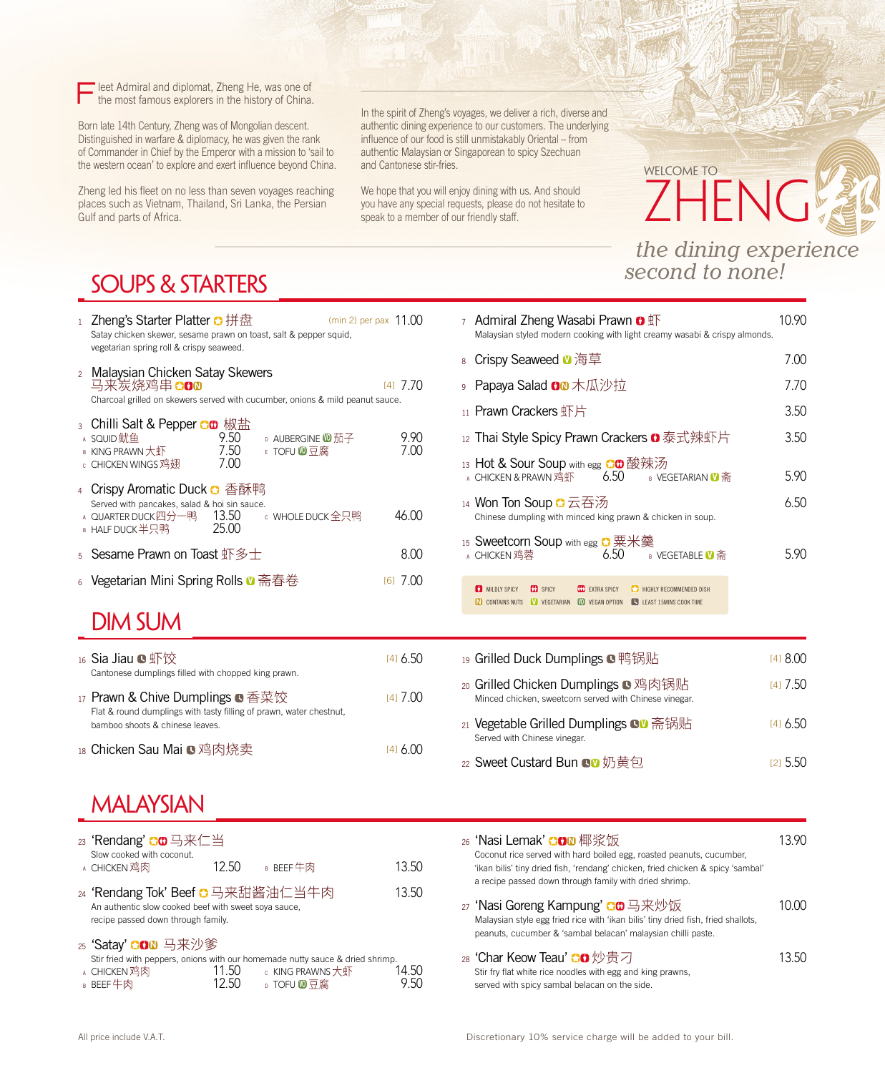Fleet Admiral and diplomat, Zheng He, was one of the most famous explorers in the history of China.

Born late 14th Century, Zheng was of Mongolian descent. Distinguished in warfare & diplomacy, he was given the rank of Commander in Chief by the Emperor with a mission to 'sail to the western ocean' to explore and exert influence beyond China.

Zheng led his fleet on no less than seven voyages reaching places such as Vietnam, Thailand, Sri Lanka, the Persian Gulf and parts of Africa.

In the spirit of Zheng's voyages, we deliver a rich, diverse and authentic dining experience to our customers. The underlying influence of our food is still unmistakably Oriental – from authentic Malaysian or Singaporean to spicy Szechuan and Cantonese stir-fries.

We hope that you will enjoy dining with us. And should you have any special requests, please do not hesitate to speak to a member of our friendly staff.

# Welcome to ZHENG *the dining experience*

*second to none!*

### SOUPS & STARTERS

| 1 <sup>1</sup> | Zheng's Starter Platter $\bullet$ 拼盘<br>Satay chicken skewer, sesame prawn on toast, salt & pepper squid,<br>vegetarian spring roll & crispy seaweed. |                      |                                                    | (min 2) per pax $11.00$ |  |
|----------------|-------------------------------------------------------------------------------------------------------------------------------------------------------|----------------------|----------------------------------------------------|-------------------------|--|
|                | 2 Malaysian Chicken Satay Skewers<br>马来炭烧鸡串COO<br>Charcoal grilled on skewers served with cucumber, onions & mild peanut sauce.                       |                      |                                                    | [4] / / 0               |  |
|                | A SQUID鱿鱼<br><b>B</b> KING PRAWN大虾<br>c CHICKEN WINGS 鸡翅                                                                                              | 9.50<br>7.50<br>7.00 | <b>D</b> AUBERGINE $\mathbf{0}$ 茄子<br>$E$ TOFU ⑩豆腐 | 9.90<br>7.00            |  |
| $\overline{4}$ | Crispy Aromatic Duck <b>◘</b> 香酥鸭<br>Served with pancakes, salad & hoi sin sauce.<br>A QUARTER DUCK四分一鸭 13.50<br>B HALF DUCK半只鸭                       | 25.00                | c WHOLE DUCK全只鸭                                    | 46.00                   |  |
| 5              | Sesame Prawn on Toast 虾多士                                                                                                                             |                      |                                                    | 8.00                    |  |
|                | 6 Vegetarian Mini Spring Rolls ❶ 斋春卷                                                                                                                  |                      |                                                    | 7(11)<br>[6]            |  |

#### DIM SUM

| 16 Sia Jiau ■虾饺<br>Cantonese dumplings filled with chopped king prawn.                                                                     | $[4]$ 6.50 |
|--------------------------------------------------------------------------------------------------------------------------------------------|------------|
| 17 Prawn & Chive Dumplings ■ 香菜饺<br>Flat & round dumplings with tasty filling of prawn, water chestnut,<br>bamboo shoots & chinese leaves. | $[4]$ 7.00 |
| 18 Chicken Sau Mai ■ 鸡肉烧卖                                                                                                                  | (1)        |

### MALAYSIAN

| 23 'Rendang' ◘❶ 马来仁当<br>Slow cooked with coconut.<br>A CHICKEN 鸡肉                                                               | 12.50 | B BEEF牛肉                                                                                                                       | 13.50 |
|---------------------------------------------------------------------------------------------------------------------------------|-------|--------------------------------------------------------------------------------------------------------------------------------|-------|
| 24 'Rendang Tok' Beef C 马来甜酱油仁当牛肉<br>An authentic slow cooked beef with sweet soya sauce,<br>recipe passed down through family. |       |                                                                                                                                | 13.50 |
| 25 'Satay' CON 马来沙爹<br>A CHICKEN 鸡肉<br>B BEEF牛肉                                                                                 | 11.50 | Stir fried with peppers, onions with our homemade nutty sauce & dried shrimp.<br>c KING PRAWNS大虾<br><b>D</b> TOFU <u>OD</u> 豆腐 | 14.50 |

| 7 Admiral Zheng Wasabi Prawn <b>O</b> $\overline{\mathbb{F}}$<br>Malaysian styled modern cooking with light creamy wasabi & crispy almonds. | 10 90 |
|---------------------------------------------------------------------------------------------------------------------------------------------|-------|
| 8 Crispy Seaweed ❶ 海草                                                                                                                       | 7.00  |
| உ <b>Papaya Salad <del>8</del>◙</b> 木瓜沙拉                                                                                                    | 7.70  |
| 11 Prawn Crackers 虾片                                                                                                                        | 3.50  |
| 12 Thai Style Spicy Prawn Crackers ◘ 泰式辣虾片                                                                                                  | 3.50  |
| 13 Hot & Sour Soup with egg ◘❶酸辣汤<br><b>A</b> CHICKEN & PRAWN 鸡虾 $6.50$ B VEGETARIAN $\blacksquare$ 斋                                       | 5.90  |
| 14 Won Ton Soup <del>O</del> 云吞汤<br>Chinese dumpling with minced king prawn & chicken in soup.                                              | 6.50  |
| 15 Sweetcorn Soup with egg ◘ 粟米羹<br>$6.50$ B VEGETABLE $\bullet$ 斋<br>A CHICKEN 鸡蓉                                                          | 5.90  |
|                                                                                                                                             |       |

**MILDLY SPICY CO** SPICY **CO** EXTRA SPICY **CO** HIGHLY RECOMMENDED DISH **N** CONTAINS NUTS **V** VEGETARIAN **V** VEGAN OPTION **C** LEAST 15MINS COOK TIME

| 19 Grilled Duck Dumplings ●鸭锅贴                                                                | [418.00]   |
|-----------------------------------------------------------------------------------------------|------------|
| 20 Grilled Chicken Dumplings ■ 鸡肉锅贴<br>Minced chicken, sweetcorn served with Chinese vinegar. | 1417.50    |
| 21 Vegetable Grilled Dumplings ■■ 斋锅贴<br>Served with Chinese vinegar.                         | $[4]$ 6.50 |
| 22 Sweet Custard Bun OD 奶黄包                                                                   | (21.5.50)  |

- $_{26}$  'Nasi Lemak' 〇〇 椰浆饭 2000 2000 13.90 Coconut rice served with hard boiled egg, roasted peanuts, cucumber, 'ikan bilis' tiny dried fish, 'rendang' chicken, fried chicken & spicy 'sambal' a recipe passed down through family with dried shrimp. 27 'Nasi Goreng Kampung' CO 马来炒饭 10.00 Malaysian style egg fried rice with 'ikan bilis' tiny dried fish, fried shallots, peanuts, cucumber & 'sambal belacan' malaysian chilli paste.
- $28$  'Char Keow Teau'  $\Box \bullet \text{ } \textcircled{1} \oplus \overline{5}$  7 Stir fry flat white rice noodles with egg and king prawns, served with spicy sambal belacan on the side.